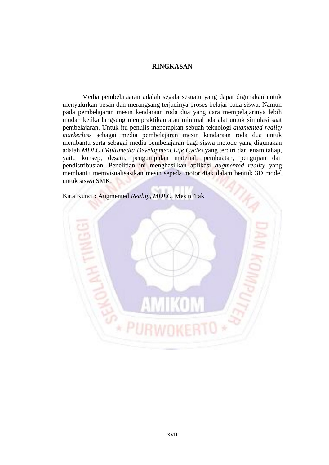## **RINGKASAN**

Media pembelajaaran adalah segala sesuatu yang dapat digunakan untuk menyalurkan pesan dan merangsang terjadinya proses belajar pada siswa. Namun pada pembelajaran mesin kendaraan roda dua yang cara mempelajarinya lebih mudah ketika langsung mempraktikan atau minimal ada alat untuk simulasi saat pembelajaran. Untuk itu penulis menerapkan sebuah teknologi *augmented reality markerless* sebagai media pembelajaran mesin kendaraan roda dua untuk membantu serta sebagai media pembelajaran bagi siswa metode yang digunakan adalah *MDLC* (*Multimedia Development Life Cycle*) yang terdiri dari enam tahap, yaitu konsep, desain, pengumpulan material, pembuatan, pengujian dan pendistribusian. Penelitian ini menghasilkan aplikasi *augmented reality* yang membantu memvisualisasikan mesin sepeda motor 4tak dalam bentuk 3D model untuk siswa SMK.